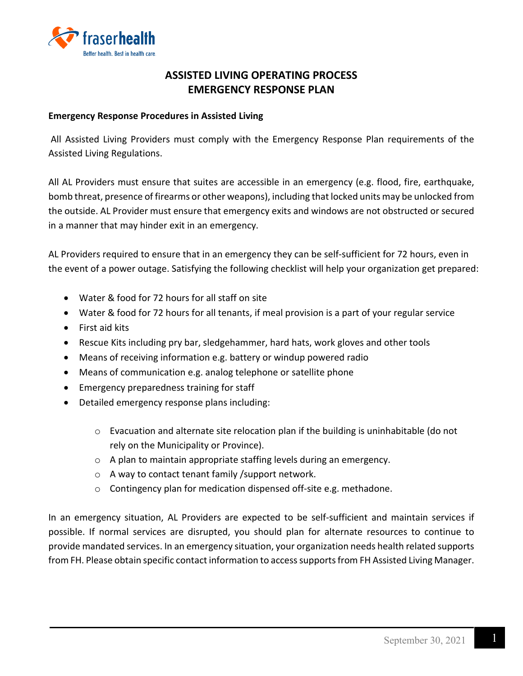

# **ASSISTED LIVING OPERATING PROCESS EMERGENCY RESPONSE PLAN**

#### **Emergency Response Procedures in Assisted Living**

All Assisted Living Providers must comply with the Emergency Response Plan requirements of the Assisted Living Regulations.

All AL Providers must ensure that suites are accessible in an emergency (e.g. flood, fire, earthquake, bomb threat, presence of firearms or other weapons), including that locked units may be unlocked from the outside. AL Provider must ensure that emergency exits and windows are not obstructed or secured in a manner that may hinder exit in an emergency.

AL Providers required to ensure that in an emergency they can be self-sufficient for 72 hours, even in the event of a power outage. Satisfying the following checklist will help your organization get prepared:

- Water & food for 72 hours for all staff on site
- Water & food for 72 hours for all tenants, if meal provision is a part of your regular service
- First aid kits
- Rescue Kits including pry bar, sledgehammer, hard hats, work gloves and other tools
- Means of receiving information e.g. battery or windup powered radio
- Means of communication e.g. analog telephone or satellite phone
- Emergency preparedness training for staff
- Detailed emergency response plans including:
	- o Evacuation and alternate site relocation plan if the building is uninhabitable (do not rely on the Municipality or Province).
	- o A plan to maintain appropriate staffing levels during an emergency.
	- o A way to contact tenant family /support network.
	- o Contingency plan for medication dispensed off-site e.g. methadone.

In an emergency situation, AL Providers are expected to be self-sufficient and maintain services if possible. If normal services are disrupted, you should plan for alternate resources to continue to provide mandated services. In an emergency situation, your organization needs health related supports from FH. Please obtain specific contact information to access supports from FH Assisted Living Manager.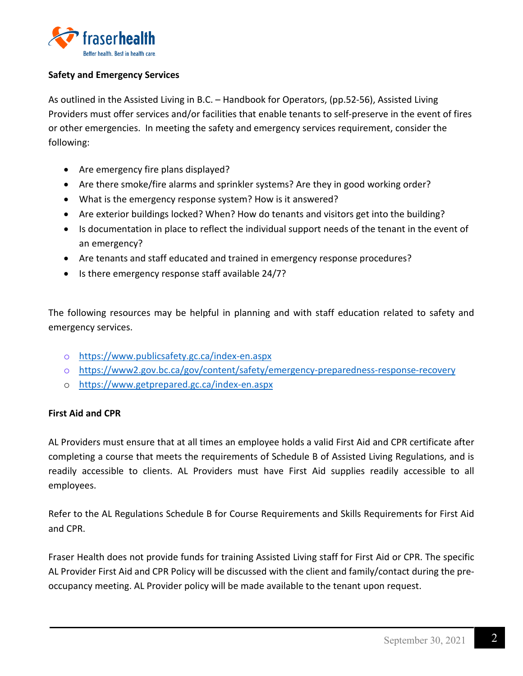

#### **Safety and Emergency Services**

As outlined in the Assisted Living in B.C. – Handbook for Operators, (pp.52-56), Assisted Living Providers must offer services and/or facilities that enable tenants to self-preserve in the event of fires or other emergencies. In meeting the safety and emergency services requirement, consider the following:

- Are emergency fire plans displayed?
- Are there smoke/fire alarms and sprinkler systems? Are they in good working order?
- What is the emergency response system? How is it answered?
- Are exterior buildings locked? When? How do tenants and visitors get into the building?
- Is documentation in place to reflect the individual support needs of the tenant in the event of an emergency?
- Are tenants and staff educated and trained in emergency response procedures?
- Is there emergency response staff available 24/7?

The following resources may be helpful in planning and with staff education related to safety and emergency services.

- o <https://www.publicsafety.gc.ca/index-en.aspx>
- o <https://www2.gov.bc.ca/gov/content/safety/emergency-preparedness-response-recovery>
- o <https://www.getprepared.gc.ca/index-en.aspx>

# **First Aid and CPR**

AL Providers must ensure that at all times an employee holds a valid First Aid and CPR certificate after completing a course that meets the requirements of Schedule B of Assisted Living Regulations, and is readily accessible to clients. AL Providers must have First Aid supplies readily accessible to all employees.

Refer to the AL Regulations Schedule B for Course Requirements and Skills Requirements for First Aid and CPR.

Fraser Health does not provide funds for training Assisted Living staff for First Aid or CPR. The specific AL Provider First Aid and CPR Policy will be discussed with the client and family/contact during the preoccupancy meeting. AL Provider policy will be made available to the tenant upon request.